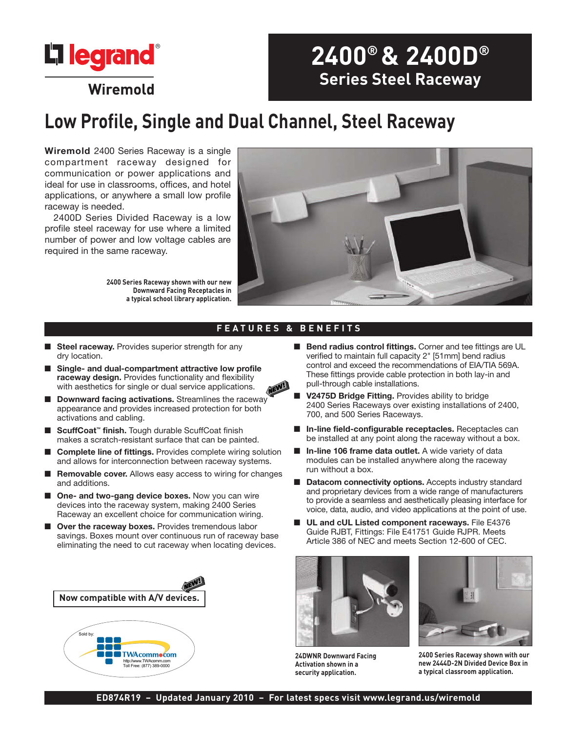

# **2400® & 2400D® Series Steel Raceway**

# **Low Profile, Single and Dual Channel, Steel Raceway**

**Wiremold** 2400 Series Raceway is a single compartment raceway designed for communication or power applications and ideal for use in classrooms, offices, and hotel applications, or anywhere a small low profile raceway is needed.

2400D Series Divided Raceway is a low profile steel raceway for use where a limited number of power and low voltage cables are required in the same raceway.

> **2400 Series Raceway shown with our new Downward Facing Receptacles in a typical school library application.**



### **FEATURES & BENEFITS**

- **Steel raceway.** Provides superior strength for any dry location.
- Single- and dual-compartment attractive low profile **raceway design.** Provides functionality and flexibility with aesthetics for single or dual service applications.
- **Downward facing activations.** Streamlines the raceway appearance and provides increased protection for both activations and cabling.
- **ScuffCoat<sup>™</sup> finish.** Tough durable ScuffCoat finish makes a scratch-resistant surface that can be painted.
- **Complete line of fittings.** Provides complete wiring solution and allows for interconnection between raceway systems.
- **Removable cover.** Allows easy access to wiring for changes and additions.
- One- and two-gang device boxes. Now you can wire devices into the raceway system, making 2400 Series Raceway an excellent choice for communication wiring.
- **Over the raceway boxes.** Provides tremendous labor savings. Boxes mount over continuous run of raceway base eliminating the need to cut raceway when locating devices.



- **Bend radius control fittings.** Corner and tee fittings are UL verified to maintain full capacity 2" [51mm] bend radius control and exceed the recommendations of EIA/TIA 569A. These fittings provide cable protection in both lay-in and pull-through cable installations.
- **V2475D Bridge Fitting.** Provides ability to bridge 2400 Series Raceways over existing installations of 2400, 700, and 500 Series Raceways.
- In-line field-configurable receptacles. Receptacles can be installed at any point along the raceway without a box.
- In-line 106 frame data outlet. A wide variety of data modules can be installed anywhere along the raceway run without a box.
- **Datacom connectivity options.** Accepts industry standard and proprietary devices from a wide range of manufacturers to provide a seamless and aesthetically pleasing interface for voice, data, audio, and video applications at the point of use.
- **UL and cUL Listed component raceways.** File E4376 Guide RJBT, Fittings: File E41751 Guide RJPR. Meets Article 386 of NEC and meets Section 12-600 of CEC.



**24DWNR Downward Facing Activation shown in a security application.**



**2400 Series Raceway shown with our new 2444D-2N Divided Device Box in a typical classroom application.**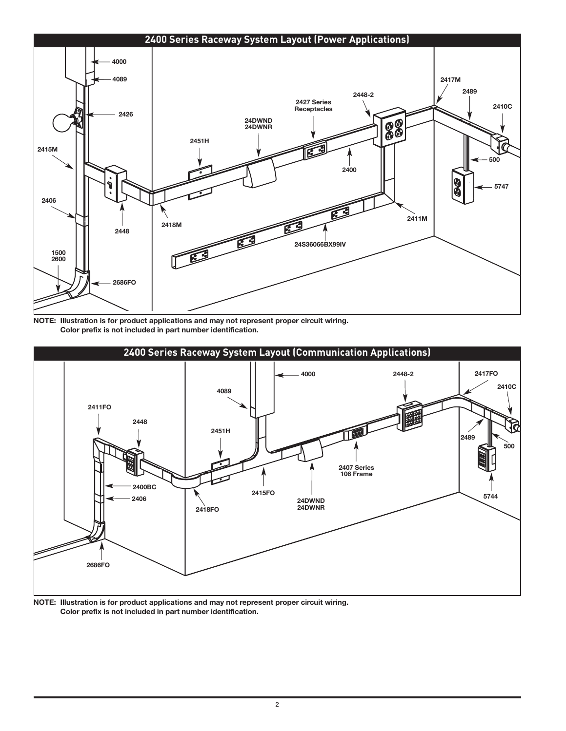

**NOTE: Illustration is for product applications and may not represent proper circuit wiring. Color prefix is not included in part number identification.**



**NOTE: Illustration is for product applications and may not represent proper circuit wiring. Color prefix is not included in part number identification.**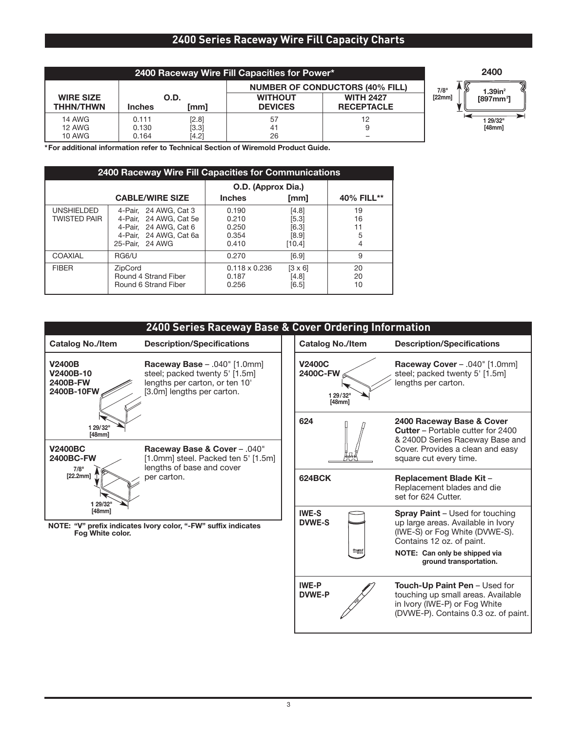# **2400 Series Raceway Wire Fill Capacity Charts**

| 2400 Raceway Wire Fill Capacities for Power* |               |         |                                        |                   |  |
|----------------------------------------------|---------------|---------|----------------------------------------|-------------------|--|
|                                              |               |         | <b>NUMBER OF CONDUCTORS (40% FILL)</b> |                   |  |
| <b>WIRE SIZE</b>                             | O.D.          |         | <b>WITHOUT</b>                         | <b>WITH 2427</b>  |  |
| <b>THHN/THWN</b>                             | <b>Inches</b> | [mm]    | <b>DEVICES</b>                         | <b>RECEPTACLE</b> |  |
| <b>14 AWG</b>                                | 0.111         | [2.8]   | 57                                     | 12                |  |
| 12 AWG                                       | 0.130         | $[3.3]$ | 41                                     |                   |  |
| <b>10 AWG</b>                                | 0.164         | [4.2]   | 26                                     |                   |  |



**\*For additional information refer to Technical Section of Wiremold Product Guide.**

| 2400 Raceway Wire Fill Capacities for Communications |                                                                                                                       |                                           |                                            |                          |  |
|------------------------------------------------------|-----------------------------------------------------------------------------------------------------------------------|-------------------------------------------|--------------------------------------------|--------------------------|--|
|                                                      |                                                                                                                       | O.D. (Approx Dia.)                        |                                            |                          |  |
|                                                      | <b>CABLE/WIRE SIZE</b>                                                                                                | <b>Inches</b>                             | [mm]                                       | 40% FILL**               |  |
| <b>UNSHIELDED</b><br><b>TWISTED PAIR</b>             | 4-Pair, 24 AWG, Cat 3<br>4-Pair. 24 AWG. Cat 5e<br>4-Pair. 24 AWG. Cat 6<br>4-Pair. 24 AWG. Cat 6a<br>25-Pair, 24 AWG | 0.190<br>0.210<br>0.250<br>0.354<br>0.410 | [4.8]<br>[5.3]<br>[6.3]<br>[8.9]<br>[10.4] | 19<br>16<br>11<br>5<br>4 |  |
| COAXIAL                                              | RG6/U                                                                                                                 | 0.270                                     | [6.9]                                      | 9                        |  |
| <b>FIBER</b>                                         | ZipCord<br>Round 4 Strand Fiber<br>Round 6 Strand Fiber                                                               | $0.118 \times 0.236$<br>0.187<br>0.256    | $[3 \times 6]$<br>[4.8]<br>[6.5]           | 20<br>20<br>10           |  |

| 2400 Series Raceway Base & Cover Ordering Information |                                                                                                                                                                                   |                                                |                                                                                                                                              |  |
|-------------------------------------------------------|-----------------------------------------------------------------------------------------------------------------------------------------------------------------------------------|------------------------------------------------|----------------------------------------------------------------------------------------------------------------------------------------------|--|
| <b>Catalog No./Item</b>                               | <b>Description/Specifications</b>                                                                                                                                                 | <b>Catalog No./Item</b>                        | <b>Description/Specifications</b>                                                                                                            |  |
| <b>V2400B</b><br>V2400B-10<br>2400B-FW<br>2400B-10FW  | <b>Raceway Base - .040" [1.0mm]</b><br>steel; packed twenty 5' [1.5m]<br>lengths per carton, or ten 10'<br>[3.0m] lengths per carton.                                             | <b>V2400C</b><br>2400C-FW<br>1 29/32<br>[48mm] | Raceway Cover - .040" [1.0mm]<br>steel; packed twenty 5' [1.5m]<br>lengths per carton.                                                       |  |
| 1 29/32"<br>[48mm]                                    |                                                                                                                                                                                   | 624                                            | 2400 Raceway Base & Cover<br><b>Cutter</b> – Portable cutter for 2400<br>& 2400D Series Raceway Base and                                     |  |
| <b>V2400BC</b><br>2400BC-FW<br>7/8"<br>[22.2mm]       | Raceway Base & Cover - .040"<br>[1.0mm] steel. Packed ten 5' [1.5m]<br>lengths of base and cover<br>per carton.<br>NOTE: "V" prefix indicates Ivory color, "-FW" suffix indicates |                                                | Cover. Provides a clean and easy<br>square cut every time.                                                                                   |  |
|                                                       |                                                                                                                                                                                   | <b>624BCK</b>                                  | <b>Replacement Blade Kit -</b><br>Replacement blades and die<br>set for 624 Cutter.                                                          |  |
| 1 29/32"<br>[48mm]<br>Fog White color.                |                                                                                                                                                                                   | <b>IWE-S</b><br><b>DVWE-S</b>                  | <b>Spray Paint - Used for touching</b><br>up large areas. Available in Ivory<br>(IWE-S) or Fog White (DVWE-S).<br>Contains 12 oz. of paint.  |  |
|                                                       |                                                                                                                                                                                   | Cl legrans                                     | NOTE: Can only be shipped via<br>ground transportation.                                                                                      |  |
|                                                       |                                                                                                                                                                                   | <b>IWE-P</b><br><b>DVWE-P</b>                  | Touch-Up Paint Pen - Used for<br>touching up small areas. Available<br>in Ivory (IWE-P) or Fog White<br>(DVWE-P). Contains 0.3 oz. of paint. |  |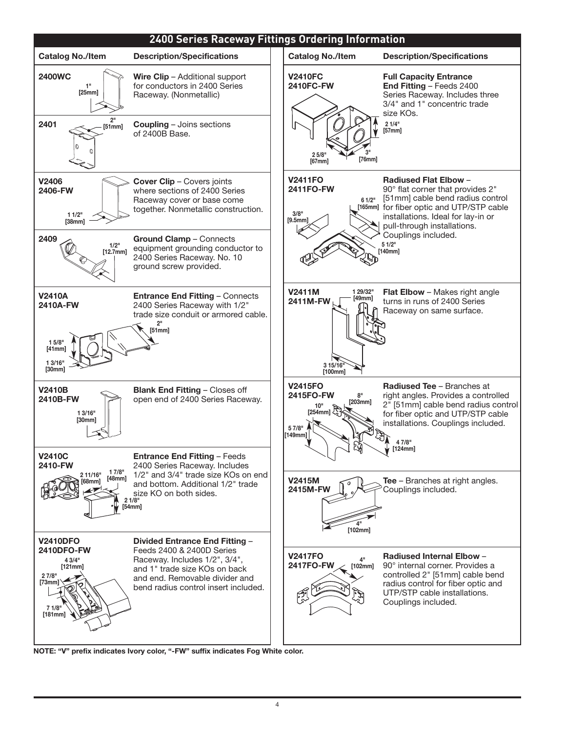

**NOTE: "V" prefix indicates Ivory color, "-FW" suffix indicates Fog White color.**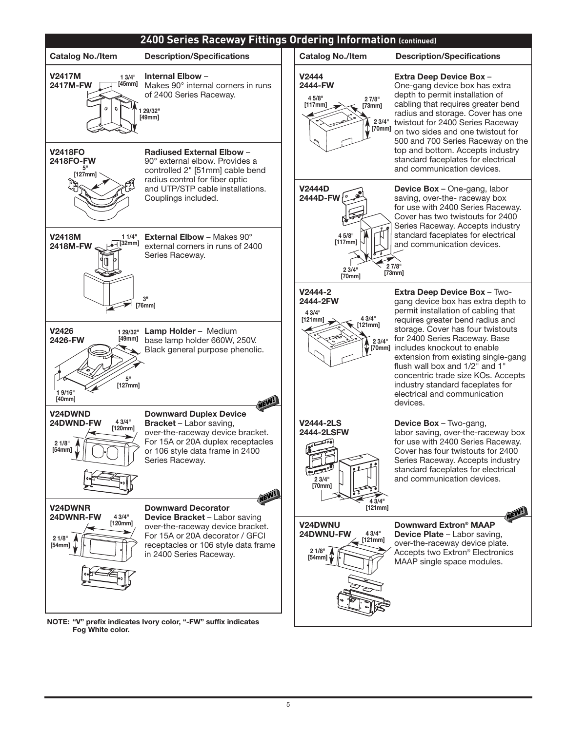

**NOTE: "V" prefix indicates Ivory color, "-FW" suffix indicates Fog White color.**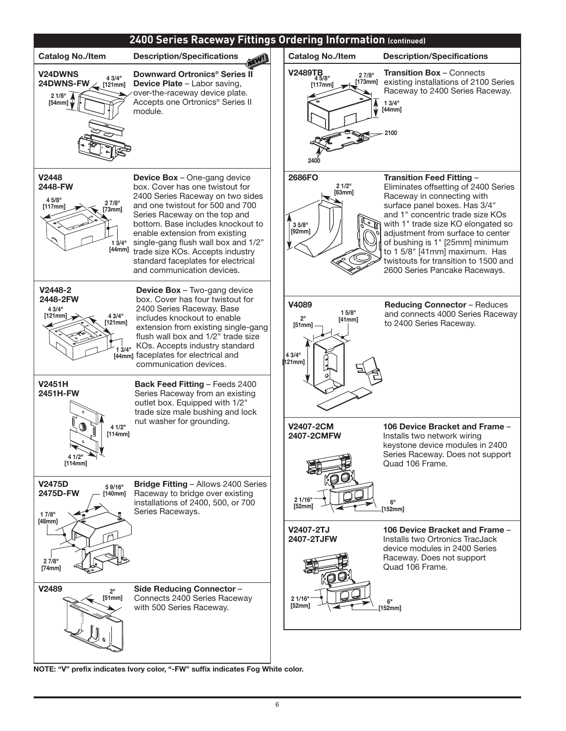

**NOTE: "V" prefix indicates Ivory color, "-FW" suffix indicates Fog White color.**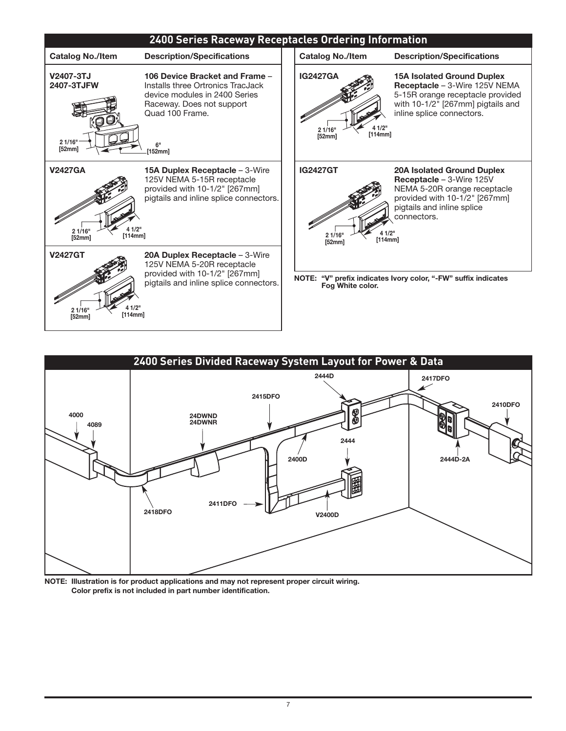



**NOTE: Illustration is for product applications and may not represent proper circuit wiring. Color prefix is not included in part number identification.**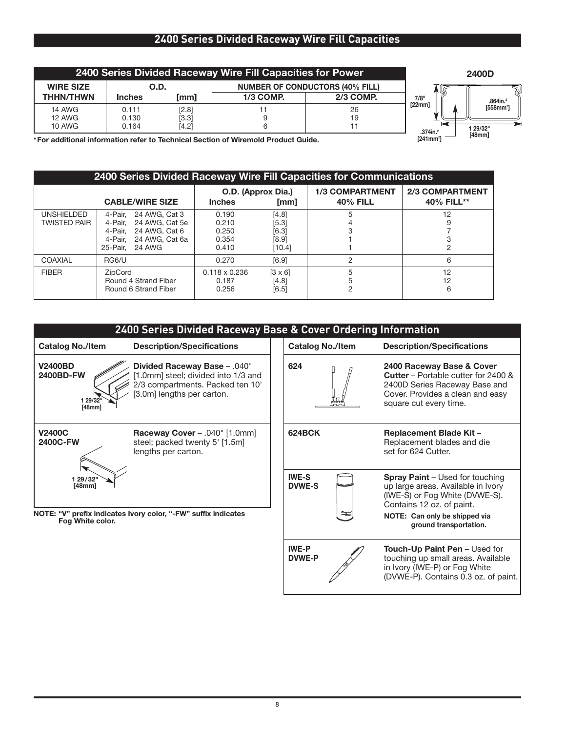# **2400 Series Divided Raceway Wire Fill Capacities**

| 2400 Series Divided Raceway Wire Fill Capacities for Power                        |               |       |           |                                        |                       | 2400D                 |
|-----------------------------------------------------------------------------------|---------------|-------|-----------|----------------------------------------|-----------------------|-----------------------|
| <b>WIRE SIZE</b>                                                                  | O.D.          |       |           | <b>NUMBER OF CONDUCTORS (40% FILL)</b> |                       |                       |
| <b>THHN/THWN</b>                                                                  | <b>Inches</b> | [mm]  | 1/3 COMP. | 2/3 COMP.                              | ∾<br>7/8"             | $.864$ in. $^{2}$     |
| <b>14 AWG</b>                                                                     | 0.111         | [2.8] |           | 26                                     | [22mm]                | [558mm <sup>2</sup> ] |
| <b>12 AWG</b>                                                                     | 0.130         | [3.3] |           | 19                                     |                       |                       |
| 10 AWG                                                                            | 0.164         | [4.2] |           |                                        | $.374$ in. $2$        | 1 29/32"              |
| *For additional information refer to Technical Section of Wiremold Product Guide. |               |       |           |                                        | [241mm <sup>2</sup> ] | [48mm]                |

**\*For additional information refer to Technical Section of Wiremold Product Guide.**

| 2400 Series Divided Raceway Wire Fill Capacities for Communications |                                                                                                                                |                                             |                                            |                                           |                                      |  |
|---------------------------------------------------------------------|--------------------------------------------------------------------------------------------------------------------------------|---------------------------------------------|--------------------------------------------|-------------------------------------------|--------------------------------------|--|
| <b>CABLE/WIRE SIZE</b>                                              |                                                                                                                                | O.D. (Approx Dia.)<br><b>Inches</b><br>[mm] |                                            | <b>1/3 COMPARTMENT</b><br><b>40% FILL</b> | <b>2/3 COMPARTMENT</b><br>40% FILL** |  |
| <b>UNSHIELDED</b><br><b>TWISTED PAIR</b>                            | 4-Pair. 24 AWG, Cat 3<br>24 AWG. Cat 5e<br>4-Pair.<br>24 AWG, Cat 6<br>4-Pair.<br>24 AWG. Cat 6a<br>4-Pair.<br>25-Pair. 24 AWG | 0.190<br>0.210<br>0.250<br>0.354<br>0.410   | [4.8]<br>[5.3]<br>[6.3]<br>[8.9]<br>[10.4] | 5                                         | 12                                   |  |
| COAXIAL                                                             | RG6/U                                                                                                                          | 0.270                                       | [6.9]                                      | 2                                         | 6                                    |  |
| <b>FIBER</b>                                                        | ZipCord<br>Round 4 Strand Fiber<br>Round 6 Strand Fiber                                                                        | $0.118 \times 0.236$<br>0.187<br>0.256      | $[3 \times 6]$<br>[4.8]<br>[6.5]           | 5<br>5                                    | 12<br>12<br>6                        |  |

| 2400 Series Divided Raceway Base & Cover Ordering Information |                                                                                                                                      |                               |                         |                                                                                                                                                                        |  |  |
|---------------------------------------------------------------|--------------------------------------------------------------------------------------------------------------------------------------|-------------------------------|-------------------------|------------------------------------------------------------------------------------------------------------------------------------------------------------------------|--|--|
| <b>Catalog No./Item</b>                                       | <b>Description/Specifications</b>                                                                                                    |                               | <b>Catalog No./Item</b> | <b>Description/Specifications</b>                                                                                                                                      |  |  |
| <b>V2400BD</b><br>2400BD-FW<br>1 29/32"<br>[48mm]             | Divided Raceway Base - .040"<br>1.0mm] steel; divided into 1/3 and<br>2/3 compartments. Packed ten 10'<br>[3.0m] lengths per carton. | 624                           |                         | 2400 Raceway Base & Cover<br><b>Cutter</b> – Portable cutter for 2400 &<br>2400D Series Raceway Base and<br>Cover. Provides a clean and easy<br>square cut every time. |  |  |
| <b>V2400C</b><br>2400C-FW                                     | Raceway Cover - .040" [1.0mm]<br>steel; packed twenty 5' [1.5m]<br>lengths per carton.                                               | <b>624BCK</b>                 |                         | <b>Replacement Blade Kit -</b><br>Replacement blades and die<br>set for 624 Cutter.                                                                                    |  |  |
| 1 29/32<br>[48mm]                                             |                                                                                                                                      | <b>IWE-S</b><br><b>DVWE-S</b> |                         | <b>Spray Paint</b> – Used for touching<br>up large areas. Available in Ivory<br>(IWE-S) or Fog White (DVWE-S).<br>Contains 12 oz. of paint.                            |  |  |
| Fog White color.                                              | NOTE: "V" prefix indicates Ivory color, "-FW" suffix indicates                                                                       |                               | D legrand               | NOTE: Can only be shipped via<br>ground transportation.                                                                                                                |  |  |
|                                                               |                                                                                                                                      | <b>IWE-P</b><br><b>DVWE-P</b> |                         | <b>Touch-Up Paint Pen – Used for</b><br>touching up small areas. Available<br>in Ivory (IWE-P) or Fog White<br>(DVWE-P). Contains 0.3 oz. of paint.                    |  |  |

I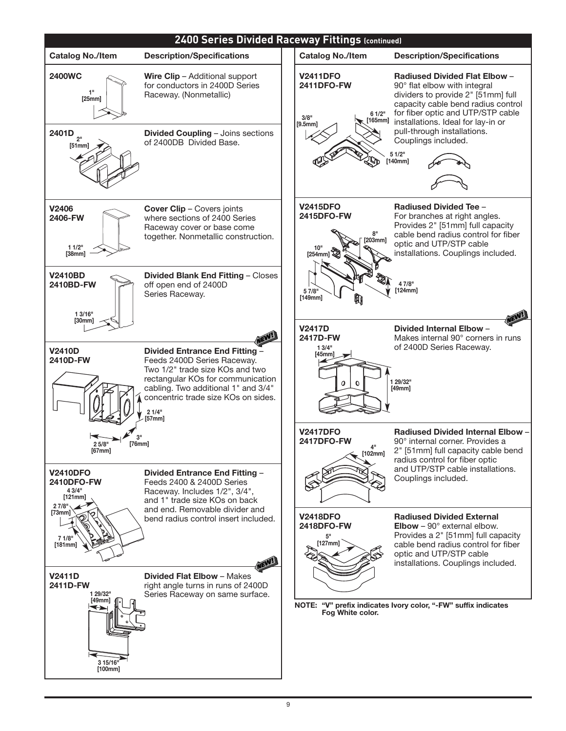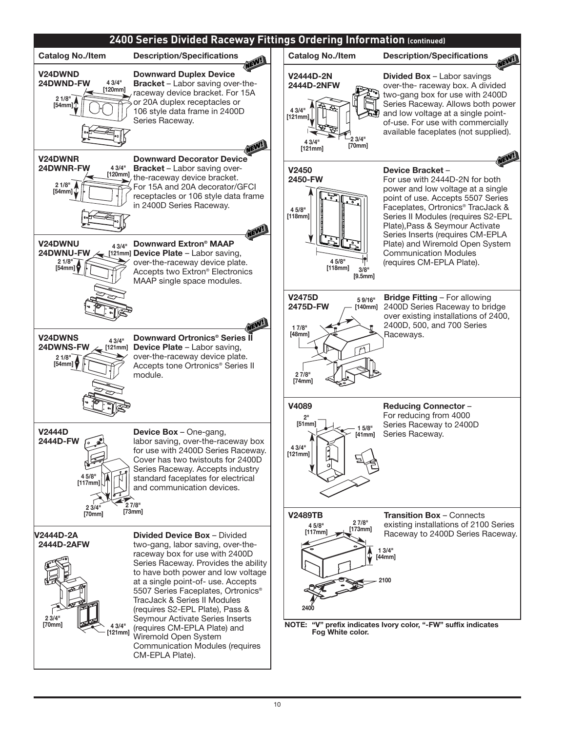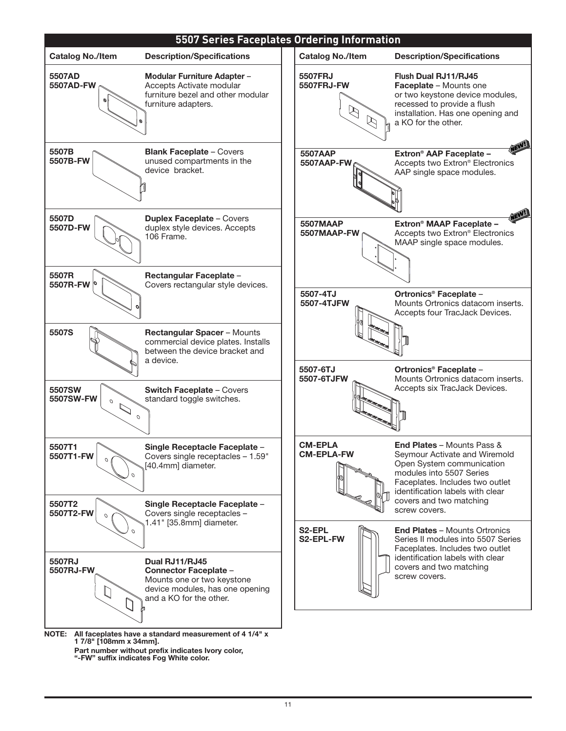

- - **Part number without prefix indicates Ivory color, "-FW" suffix indicates Fog White color.**